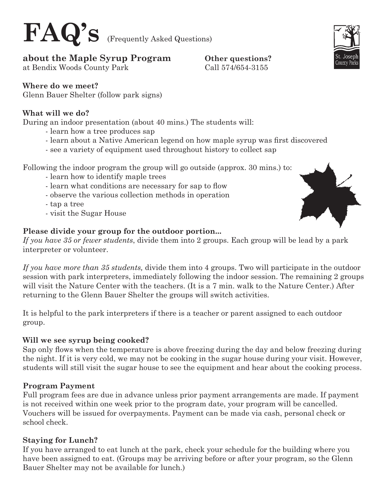

#### **about the Maple Syrup Program Other questions?**

at Bendix Woods County Park Call 574/654-3155

#### **Where do we meet?**

Glenn Bauer Shelter (follow park signs)

#### **What will we do?**

During an indoor presentation (about 40 mins.) The students will:

- learn how a tree produces sap
- learn about a Native American legend on how maple syrup was first discovered
- see a variety of equipment used throughout history to collect sap

Following the indoor program the group will go outside (approx. 30 mins.) to:

- learn how to identify maple trees
- learn what conditions are necessary for sap to flow
- observe the various collection methods in operation

- tap a tree

- visit the Sugar House

#### **Please divide your group for the outdoor portion...**

*If you have 35 or fewer students*, divide them into 2 groups. Each group will be lead by a park interpreter or volunteer.

*If you have more than 35 students,* divide them into 4 groups. Two will participate in the outdoor session with park interpreters, immediately following the indoor session. The remaining 2 groups will visit the Nature Center with the teachers. (It is a 7 min. walk to the Nature Center.) After returning to the Glenn Bauer Shelter the groups will switch activities.

It is helpful to the park interpreters if there is a teacher or parent assigned to each outdoor group.

#### **Will we see syrup being cooked?**

Sap only flows when the temperature is above freezing during the day and below freezing during the night. If it is very cold, we may not be cooking in the sugar house during your visit. However, students will still visit the sugar house to see the equipment and hear about the cooking process.

#### **Program Payment**

Full program fees are due in advance unless prior payment arrangements are made. If payment is not received within one week prior to the program date, your program will be cancelled. Vouchers will be issued for overpayments. Payment can be made via cash, personal check or school check.

#### **Staying for Lunch?**

If you have arranged to eat lunch at the park, check your schedule for the building where you have been assigned to eat. (Groups may be arriving before or after your program, so the Glenn Bauer Shelter may not be available for lunch.)



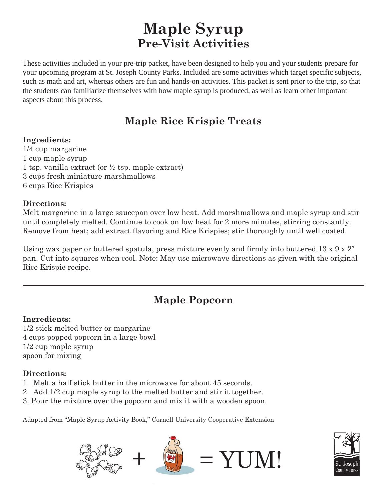## **Maple Syrup Pre-Visit Activities**

These activities included in your pre-trip packet, have been designed to help you and your students prepare for your upcoming program at St. Joseph County Parks. Included are some activities which target specific subjects, such as math and art, whereas others are fun and hands-on activities. This packet is sent prior to the trip, so that the students can familiarize themselves with how maple syrup is produced, as well as learn other important aspects about this process.

## **Maple Rice Krispie Treats**

#### **Ingredients:**

1/4 cup margarine 1 cup maple syrup 1 tsp. vanilla extract (or  $\frac{1}{2}$  tsp. maple extract) 3 cups fresh miniature marshmallows 6 cups Rice Krispies

#### **Directions:**

Melt margarine in a large saucepan over low heat. Add marshmallows and maple syrup and stir until completely melted. Continue to cook on low heat for 2 more minutes, stirring constantly. Remove from heat; add extract flavoring and Rice Krispies; stir thoroughly until well coated.

Using wax paper or buttered spatula, press mixture evenly and firmly into buttered  $13 \times 9 \times 2$ " pan. Cut into squares when cool. Note: May use microwave directions as given with the original Rice Krispie recipe.

## **Maple Popcorn**

#### **Ingredients:**

1/2 stick melted butter or margarine 4 cups popped popcorn in a large bowl 1/2 cup maple syrup spoon for mixing

#### **Directions:**

- 1. Melt a half stick butter in the microwave for about 45 seconds.
- 2. Add 1/2 cup maple syrup to the melted butter and stir it together.
- 3. Pour the mixture over the popcorn and mix it with a wooden spoon.

Adapted from "Maple Syrup Activity Book," Cornell University Cooperative Extension



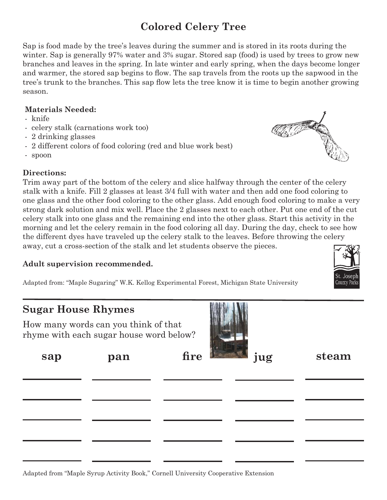## **Colored Celery Tree**

Sap is food made by the tree's leaves during the summer and is stored in its roots during the winter. Sap is generally 97% water and 3% sugar. Stored sap (food) is used by trees to grow new branches and leaves in the spring. In late winter and early spring, when the days become longer and warmer, the stored sap begins to flow. The sap travels from the roots up the sapwood in the tree's trunk to the branches. This sap flow lets the tree know it is time to begin another growing season.

#### **Materials Needed:**

- knife
- celery stalk (carnations work too)
- 2 drinking glasses
- 2 different colors of food coloring (red and blue work best)
- spoon

#### **Directions:**

Trim away part of the bottom of the celery and slice halfway through the center of the celery stalk with a knife. Fill 2 glasses at least 3/4 full with water and then add one food coloring to one glass and the other food coloring to the other glass. Add enough food coloring to make a very strong dark solution and mix well. Place the 2 glasses next to each other. Put one end of the cut celery stalk into one glass and the remaining end into the other glass. Start this activity in the morning and let the celery remain in the food coloring all day. During the day, check to see how the different dyes have traveled up the celery stalk to the leaves. Before throwing the celery away, cut a cross-section of the stalk and let students observe the pieces.

#### **Adult supervision recommended.**

Adapted from: "Maple Sugaring" W.K. Kellog Experimental Forest, Michigan State University

### **Sugar House Rhymes**

How many words can you think of that rhyme with each sugar house word below?



| sap | pan | fire jug | steam |
|-----|-----|----------|-------|
|     |     |          |       |
|     |     |          |       |
|     |     |          |       |
|     |     |          |       |





| Adapted from "Maple Syrup Activity Book," Cornell University Cooperative Extension |  |  |  |
|------------------------------------------------------------------------------------|--|--|--|
|                                                                                    |  |  |  |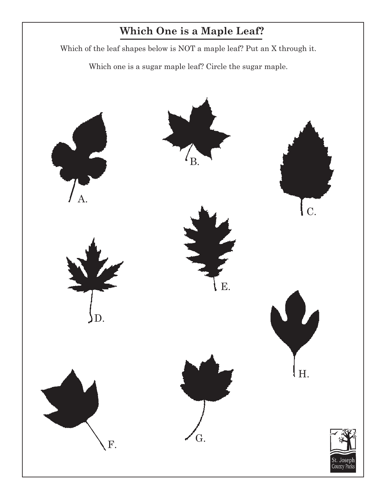## **Which One is a Maple Leaf?**

Which of the leaf shapes below is NOT a maple leaf? Put an X through it.

Which one is a sugar maple leaf? Circle the sugar maple.

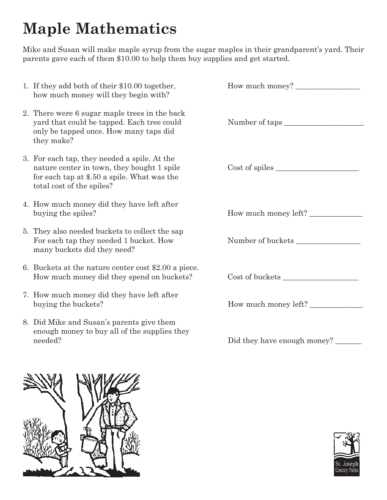# **Maple Mathematics**

Mike and Susan will make maple syrup from the sugar maples in their grandparent's yard. Their parents gave each of them \$10.00 to help them buy supplies and get started.

| 1. If they add both of their \$10.00 together,<br>how much money will they begin with?                                                                                 |                             |
|------------------------------------------------------------------------------------------------------------------------------------------------------------------------|-----------------------------|
| 2. There were 6 sugar maple trees in the back<br>yard that could be tapped. Each tree could<br>only be tapped once. How many taps did<br>they make?                    | Number of taps              |
| 3. For each tap, they needed a spile. At the<br>nature center in town, they bought 1 spile<br>for each tap at \$.50 a spile. What was the<br>total cost of the spiles? | Cost of spiles              |
| 4. How much money did they have left after<br>buying the spiles?                                                                                                       | How much money left?        |
| 5. They also needed buckets to collect the sap<br>For each tap they needed 1 bucket. How<br>many buckets did they need?                                                | Number of buckets           |
| 6. Buckets at the nature center cost \$2.00 a piece.<br>How much money did they spend on buckets?                                                                      |                             |
| 7. How much money did they have left after<br>buying the buckets?                                                                                                      | How much money left?        |
| 8. Did Mike and Susan's parents give them<br>enough money to buy all of the supplies they<br>needed?                                                                   | Did they have enough money? |



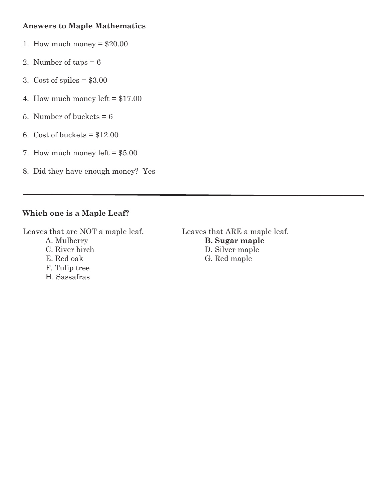#### **Answers to Maple Mathematics**

- 1. How much money  $= $20.00$
- 2. Number of taps  $= 6$
- 3. Cost of spiles  $= $3.00$
- 4. How much money left  $= $17.00$
- 5. Number of buckets  $= 6$
- 6. Cost of buckets  $= $12.00$
- 7. How much money left  $= $5.00$
- 8. Did they have enough money? Yes

#### **Which one is a Maple Leaf?**

Leaves that are NOT a maple leaf. Leaves that ARE a maple leaf.

- 
- F. Tulip tree
- H. Sassafras

 A. Mulberry **B. Sugar maple** C. River birch D. Silver maple E. Red oak G. Red maple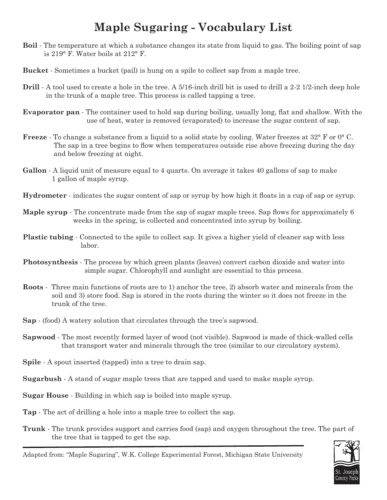## **Maple Sugaring - Vocabulary List**

- **Boil** The temperature at which a substance changes its state from liquid to gas. The boiling point of sap is 219° F. Water boils at 212° F.
- **Bucket** Sometimes a bucket (pail) is hung on a spile to collect sap from a maple tree.
- **Drill** A tool used to create a hole in the tree. A 5/16-inch drill bit is used to drill a 2-2 1/2-inch deep hole in the trunk of a maple tree. This process is called tapping a tree.
- **Evaporator pan** The container used to hold sap during boiling, usually long, flat and shallow. With the use of heat, water is removed (evaporated) to increase the sugar content of sap.
- **Freeze** To change a substance from a liquid to a solid state by cooling. Water freezes at 32° F or 0° C. The sap in a tree begins to flow when temperatures outside rise above freezing during the day and below freezing at night.
- **Gallon** A liquid unit of measure equal to 4 quarts. On average it takes 40 gallons of sap to make 1 gallon of maple syrup.
- **Hydrometer** indicates the sugar content of sap or syrup by how high it floats in a cup of sap or syrup.
- **Maple syrup** The concentrate made from the sap of sugar maple trees. Sap flows for approximately 6 weeks in the spring, is collected and concentrated into syrup by boiling.
- **Plastic tubing** Connected to the spile to collect sap. It gives a higher yield of cleaner sap with less labor.
- **Photosynthesis** The process by which green plants (leaves) convert carbon dioxide and water into simple sugar. Chlorophyll and sunlight are essential to this process.
- **Roots** Three main functions of roots are to 1) anchor the tree, 2) absorb water and minerals from the soil and 3) store food. Sap is stored in the roots during the winter so it does not freeze in the trunk of the tree.
- **Sap**  (food) A watery solution that circulates through the tree's sapwood.
- **Sapwood** The most recently formed layer of wood (not visible). Sapwood is made of thick-walled cells that transport water and minerals through the tree (similar to our circulatory system).
- **Spile** A spout inserted (tapped) into a tree to drain sap.
- **Sugarbush** A stand of sugar maple trees that are tapped and used to make maple syrup.
- **Sugar House** Building in which sap is boiled into maple syrup.
- **Tap** The act of drilling a hole into a maple tree to collect the sap.
- **Trunk** The trunk provides support and carries food (sap) and oxygen throughout the tree. The part of the tree that is tapped to get the sap.



Adapted from: "Maple Sugaring", W.K. College Experimental Forest, Michigan State University